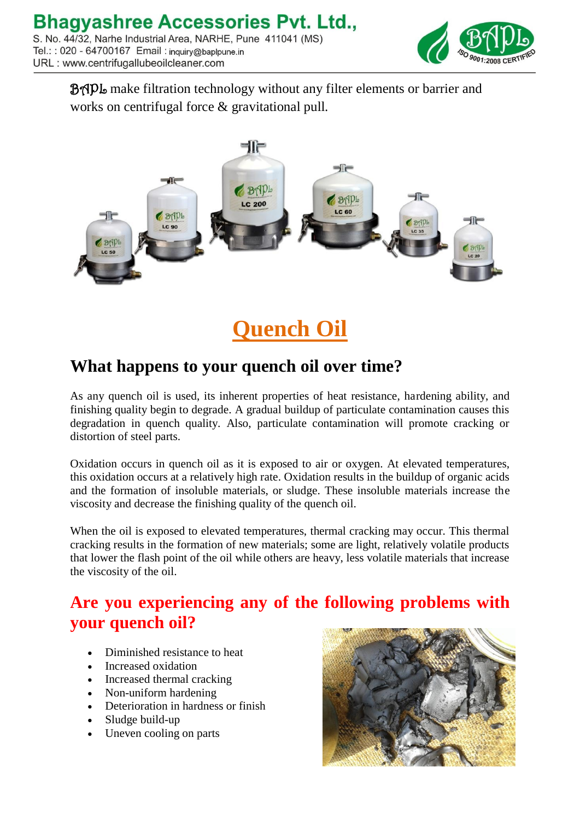

BAPL make filtration technology without any filter elements or barrier and works on centrifugal force & gravitational pull.



**Quench Oil**

## **What happens to your quench oil over time?**

As any quench oil is used, its inherent properties of heat resistance, hardening ability, and finishing quality begin to degrade. A gradual buildup of particulate contamination causes this degradation in quench quality. Also, particulate contamination will promote cracking or distortion of steel parts.

Oxidation occurs in quench oil as it is exposed to air or oxygen. At elevated temperatures, this oxidation occurs at a relatively high rate. Oxidation results in the buildup of organic acids and the formation of insoluble materials, or sludge. These insoluble materials increase the viscosity and decrease the finishing quality of the quench oil.

When the oil is exposed to elevated temperatures, thermal cracking may occur. This thermal cracking results in the formation of new materials; some are light, relatively volatile products that lower the flash point of the oil while others are heavy, less volatile materials that increase the viscosity of the oil.

## **Are you experiencing any of the following problems with your quench oil?**

- Diminished resistance to heat
- Increased oxidation
- Increased thermal cracking
- Non-uniform hardening
- Deterioration in hardness or finish
- Sludge build-up
- Uneven cooling on parts

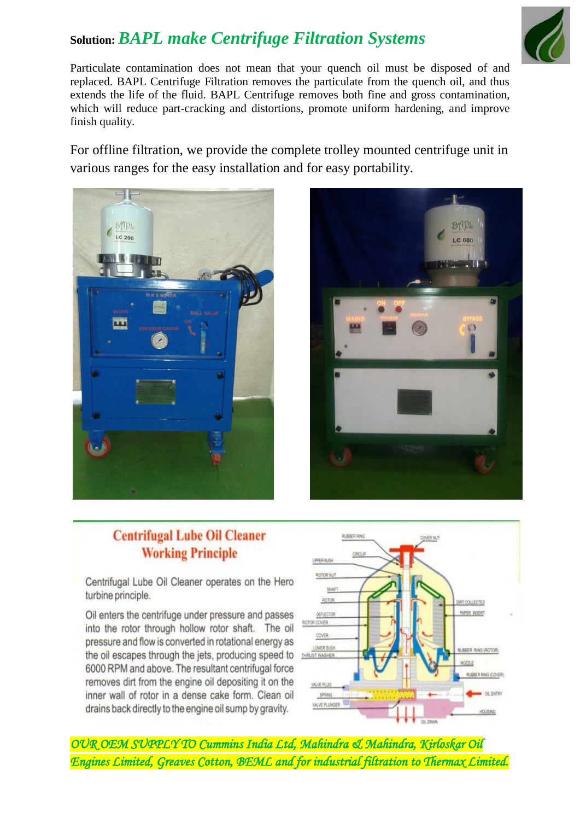## **Solution:** *BAPL make Centrifuge Filtration Systems*



Particulate contamination does not mean that your quench oil must be disposed of and replaced. BAPL Centrifuge Filtration removes the particulate from the quench oil, and thus extends the life of the fluid. BAPL Centrifuge removes both fine and gross contamination, which will reduce part-cracking and distortions, promote uniform hardening, and improve finish quality.

For offline filtration, we provide the complete trolley mounted centrifuge unit in various ranges for the easy installation and for easy portability.





## **Centrifugal Lube Oil Cleaner Working Principle**

Centrifugal Lube Oil Cleaner operates on the Hero turbine principle.

Oil enters the centrifuge under pressure and passes into the rotor through hollow rotor shaft. The oil pressure and flow is converted in rotational energy as the oil escapes through the jets, producing speed to 6000 RPM and above. The resultant centrifugal force removes dirt from the engine oil depositing it on the inner wall of rotor in a dense cake form. Clean oil drains back directly to the engine oil sump by gravity.



*OUR OEM SUPPLY TO Cummins India Ltd, Mahindra & Mahindra, Kirloskar Oil Engines Limited, Greaves Cotton, BEML and for industrial filtration to Thermax Limited.*